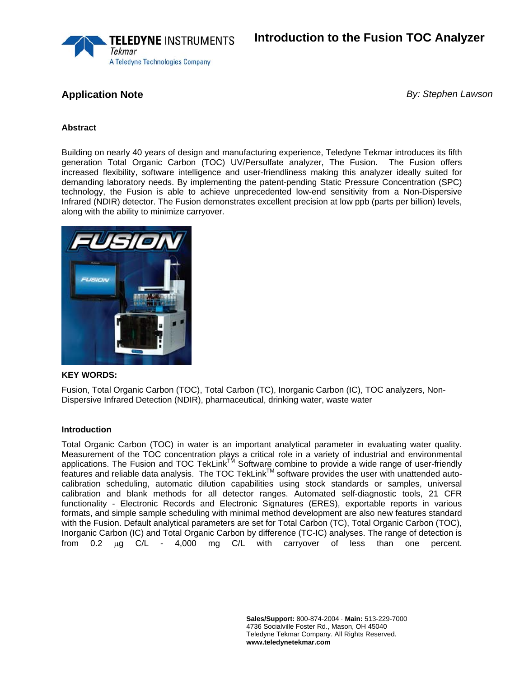

**Application Note** *By: Stephen Lawson* 

## **Abstract**

Building on nearly 40 years of design and manufacturing experience, Teledyne Tekmar introduces its fifth generation Total Organic Carbon (TOC) UV/Persulfate analyzer, The Fusion. The Fusion offers increased flexibility, software intelligence and user-friendliness making this analyzer ideally suited for demanding laboratory needs. By implementing the patent-pending Static Pressure Concentration (SPC) technology, the Fusion is able to achieve unprecedented low-end sensitivity from a Non-Dispersive Infrared (NDIR) detector. The Fusion demonstrates excellent precision at low ppb (parts per billion) levels, along with the ability to minimize carryover.



## **KEY WORDS:**

Fusion, Total Organic Carbon (TOC), Total Carbon (TC), Inorganic Carbon (IC), TOC analyzers, Non-Dispersive Infrared Detection (NDIR), pharmaceutical, drinking water, waste water

## **Introduction**

Total Organic Carbon (TOC) in water is an important analytical parameter in evaluating water quality. Measurement of the TOC concentration plays a critical role in a variety of industrial and environmental applications. The Fusion and TOC TekLink<sup>TM</sup> Software combine to provide a wide range of user-friendly features and reliable data analysis. The TOC TekLink<sup>TM</sup> software provides the user with unattended autocalibration scheduling, automatic dilution capabilities using stock standards or samples, universal calibration and blank methods for all detector ranges. Automated self-diagnostic tools, 21 CFR functionality - Electronic Records and Electronic Signatures (ERES), exportable reports in various formats, and simple sample scheduling with minimal method development are also new features standard with the Fusion. Default analytical parameters are set for Total Carbon (TC), Total Organic Carbon (TOC), Inorganic Carbon (IC) and Total Organic Carbon by difference (TC-IC) analyses. The range of detection is from 0.2 μg C/L - 4,000 mg C/L with carryover of less than one percent.

> **Sales/Support:** 800-874-2004 · **Main:** 513-229-7000 4736 Socialville Foster Rd., Mason, OH 45040 Teledyne Tekmar Company. All Rights Reserved. **www.teledynetekmar.com**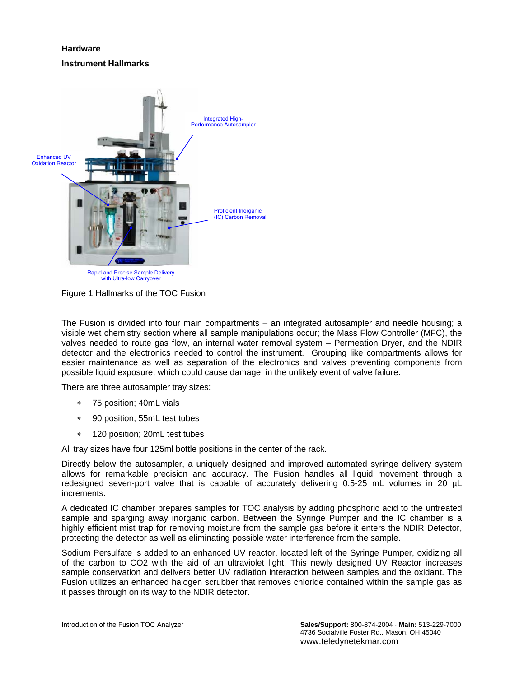# **Hardware Instrument Hallmarks**



Figure 1 Hallmarks of the TOC Fusion

The Fusion is divided into four main compartments – an integrated autosampler and needle housing; a visible wet chemistry section where all sample manipulations occur; the Mass Flow Controller (MFC), the valves needed to route gas flow, an internal water removal system – Permeation Dryer, and the NDIR detector and the electronics needed to control the instrument. Grouping like compartments allows for easier maintenance as well as separation of the electronics and valves preventing components from possible liquid exposure, which could cause damage, in the unlikely event of valve failure.

There are three autosampler tray sizes:

- ∗ 75 position; 40mL vials
- 90 position; 55mL test tubes
- ∗ 120 position; 20mL test tubes

All tray sizes have four 125ml bottle positions in the center of the rack.

Directly below the autosampler, a uniquely designed and improved automated syringe delivery system allows for remarkable precision and accuracy. The Fusion handles all liquid movement through a redesigned seven-port valve that is capable of accurately delivering 0.5-25 mL volumes in 20 µL increments.

A dedicated IC chamber prepares samples for TOC analysis by adding phosphoric acid to the untreated sample and sparging away inorganic carbon. Between the Syringe Pumper and the IC chamber is a highly efficient mist trap for removing moisture from the sample gas before it enters the NDIR Detector, protecting the detector as well as eliminating possible water interference from the sample.

Sodium Persulfate is added to an enhanced UV reactor, located left of the Syringe Pumper, oxidizing all of the carbon to CO2 with the aid of an ultraviolet light. This newly designed UV Reactor increases sample conservation and delivers better UV radiation interaction between samples and the oxidant. The Fusion utilizes an enhanced halogen scrubber that removes chloride contained within the sample gas as it passes through on its way to the NDIR detector.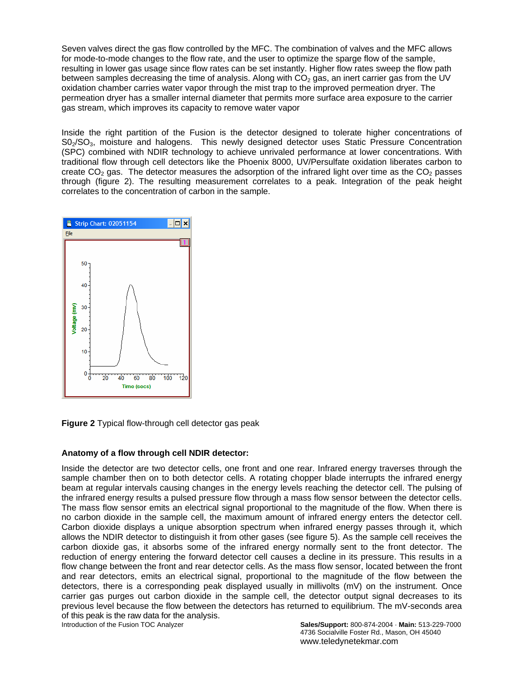Seven valves direct the gas flow controlled by the MFC. The combination of valves and the MFC allows for mode-to-mode changes to the flow rate, and the user to optimize the sparge flow of the sample, resulting in lower gas usage since flow rates can be set instantly. Higher flow rates sweep the flow path between samples decreasing the time of analysis. Along with  $CO<sub>2</sub>$  gas, an inert carrier gas from the UV oxidation chamber carries water vapor through the mist trap to the improved permeation dryer. The permeation dryer has a smaller internal diameter that permits more surface area exposure to the carrier gas stream, which improves its capacity to remove water vapor

Inside the right partition of the Fusion is the detector designed to tolerate higher concentrations of S02/SO3, moisture and halogens. This newly designed detector uses Static Pressure Concentration (SPC) combined with NDIR technology to achieve unrivaled performance at lower concentrations. With traditional flow through cell detectors like the Phoenix 8000, UV/Persulfate oxidation liberates carbon to create  $CO<sub>2</sub>$  gas. The detector measures the adsorption of the infrared light over time as the  $CO<sub>2</sub>$  passes through (figure 2). The resulting measurement correlates to a peak. Integration of the peak height correlates to the concentration of carbon in the sample.



**Figure 2** Typical flow-through cell detector gas peak

## **Anatomy of a flow through cell NDIR detector:**

Inside the detector are two detector cells, one front and one rear. Infrared energy traverses through the sample chamber then on to both detector cells. A rotating chopper blade interrupts the infrared energy beam at regular intervals causing changes in the energy levels reaching the detector cell. The pulsing of the infrared energy results a pulsed pressure flow through a mass flow sensor between the detector cells. The mass flow sensor emits an electrical signal proportional to the magnitude of the flow. When there is no carbon dioxide in the sample cell, the maximum amount of infrared energy enters the detector cell. Carbon dioxide displays a unique absorption spectrum when infrared energy passes through it, which allows the NDIR detector to distinguish it from other gases (see figure 5). As the sample cell receives the carbon dioxide gas, it absorbs some of the infrared energy normally sent to the front detector. The reduction of energy entering the forward detector cell causes a decline in its pressure. This results in a flow change between the front and rear detector cells. As the mass flow sensor, located between the front and rear detectors, emits an electrical signal, proportional to the magnitude of the flow between the detectors, there is a corresponding peak displayed usually in millivolts (mV) on the instrument. Once carrier gas purges out carbon dioxide in the sample cell, the detector output signal decreases to its previous level because the flow between the detectors has returned to equilibrium. The mV-seconds area of this peak is the raw data for the analysis.

Introduction of the Fusion TOC Analyzer **Sales/Support:** 800-874-2004 · **Main:** 513-229-7000 4736 Socialville Foster Rd., Mason, OH 45040 www.teledynetekmar.com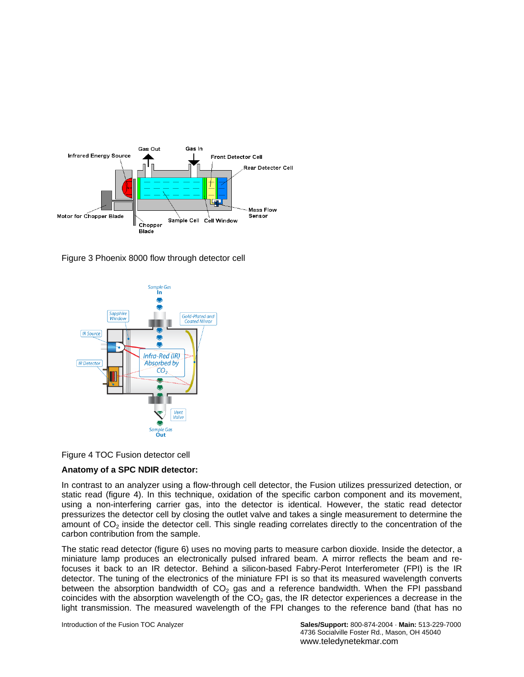

Figure 3 Phoenix 8000 flow through detector cell





## **Anatomy of a SPC NDIR detector:**

In contrast to an analyzer using a flow-through cell detector, the Fusion utilizes pressurized detection, or static read (figure 4). In this technique, oxidation of the specific carbon component and its movement, using a non-interfering carrier gas, into the detector is identical. However, the static read detector pressurizes the detector cell by closing the outlet valve and takes a single measurement to determine the amount of  $CO<sub>2</sub>$  inside the detector cell. This single reading correlates directly to the concentration of the carbon contribution from the sample.

The static read detector (figure 6) uses no moving parts to measure carbon dioxide. Inside the detector, a miniature lamp produces an electronically pulsed infrared beam. A mirror reflects the beam and refocuses it back to an IR detector. Behind a silicon-based Fabry-Perot Interferometer (FPI) is the IR detector. The tuning of the electronics of the miniature FPI is so that its measured wavelength converts between the absorption bandwidth of  $CO<sub>2</sub>$  gas and a reference bandwidth. When the FPI passband coincides with the absorption wavelength of the  $CO<sub>2</sub>$  gas, the IR detector experiences a decrease in the light transmission. The measured wavelength of the FPI changes to the reference band (that has no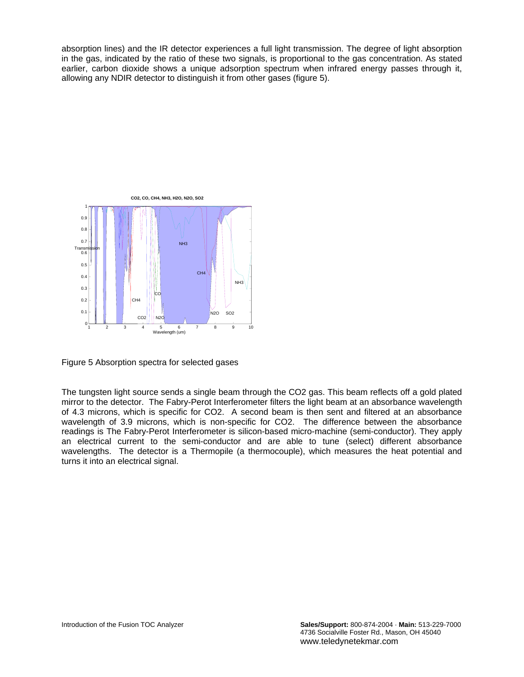absorption lines) and the IR detector experiences a full light transmission. The degree of light absorption in the gas, indicated by the ratio of these two signals, is proportional to the gas concentration. As stated earlier, carbon dioxide shows a unique adsorption spectrum when infrared energy passes through it, allowing any NDIR detector to distinguish it from other gases (figure 5).



Figure 5 Absorption spectra for selected gases

The tungsten light source sends a single beam through the CO2 gas. This beam reflects off a gold plated mirror to the detector. The Fabry-Perot Interferometer filters the light beam at an absorbance wavelength of 4.3 microns, which is specific for CO2. A second beam is then sent and filtered at an absorbance wavelength of 3.9 microns, which is non-specific for CO2. The difference between the absorbance readings is The Fabry-Perot Interferometer is silicon-based micro-machine (semi-conductor). They apply an electrical current to the semi-conductor and are able to tune (select) different absorbance wavelengths. The detector is a Thermopile (a thermocouple), which measures the heat potential and turns it into an electrical signal.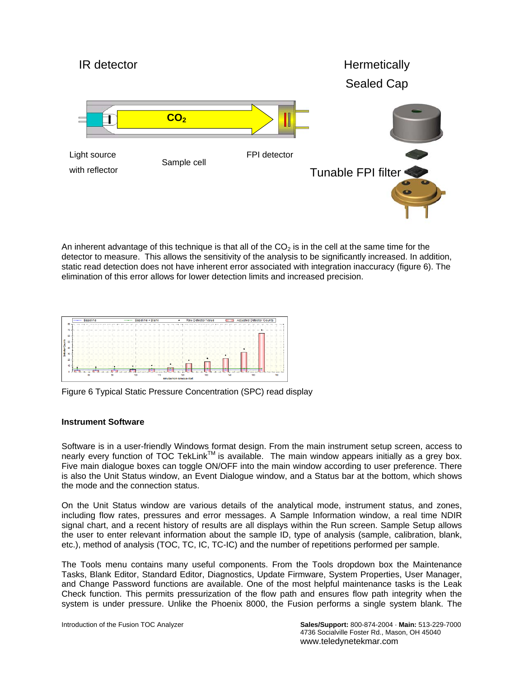

An inherent advantage of this technique is that all of the  $CO<sub>2</sub>$  is in the cell at the same time for the detector to measure. This allows the sensitivity of the analysis to be significantly increased. In addition, static read detection does not have inherent error associated with integration inaccuracy (figure 6). The elimination of this error allows for lower detection limits and increased precision.



Figure 6 Typical Static Pressure Concentration (SPC) read display

## **Instrument Software**

Software is in a user-friendly Windows format design. From the main instrument setup screen, access to nearly every function of TOC TekLinkTM is available. The main window appears initially as a grey box. Five main dialogue boxes can toggle ON/OFF into the main window according to user preference. There is also the Unit Status window, an Event Dialogue window, and a Status bar at the bottom, which shows the mode and the connection status.

On the Unit Status window are various details of the analytical mode, instrument status, and zones, including flow rates, pressures and error messages. A Sample Information window, a real time NDIR signal chart, and a recent history of results are all displays within the Run screen. Sample Setup allows the user to enter relevant information about the sample ID, type of analysis (sample, calibration, blank, etc.), method of analysis (TOC, TC, IC, TC-IC) and the number of repetitions performed per sample.

The Tools menu contains many useful components. From the Tools dropdown box the Maintenance Tasks, Blank Editor, Standard Editor, Diagnostics, Update Firmware, System Properties, User Manager, and Change Password functions are available. One of the most helpful maintenance tasks is the Leak Check function. This permits pressurization of the flow path and ensures flow path integrity when the system is under pressure. Unlike the Phoenix 8000, the Fusion performs a single system blank. The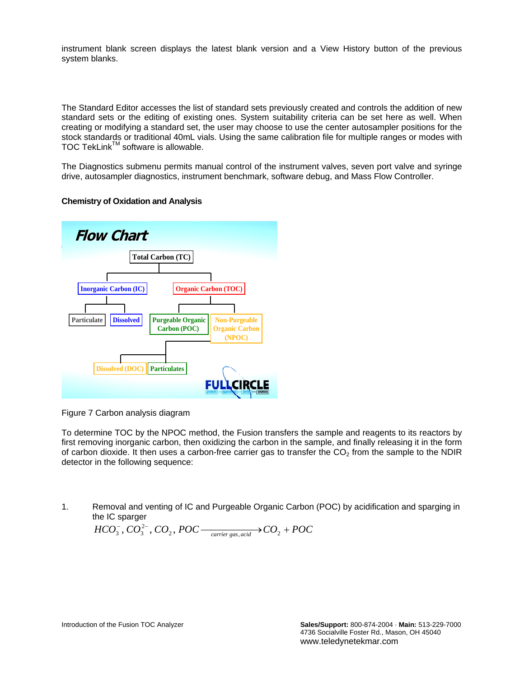instrument blank screen displays the latest blank version and a View History button of the previous system blanks.

The Standard Editor accesses the list of standard sets previously created and controls the addition of new standard sets or the editing of existing ones. System suitability criteria can be set here as well. When creating or modifying a standard set, the user may choose to use the center autosampler positions for the stock standards or traditional 40mL vials. Using the same calibration file for multiple ranges or modes with TOC TekLink™ software is allowable.

The Diagnostics submenu permits manual control of the instrument valves, seven port valve and syringe drive, autosampler diagnostics, instrument benchmark, software debug, and Mass Flow Controller.

## **Chemistry of Oxidation and Analysis**



Figure 7 Carbon analysis diagram

To determine TOC by the NPOC method, the Fusion transfers the sample and reagents to its reactors by first removing inorganic carbon, then oxidizing the carbon in the sample, and finally releasing it in the form of carbon dioxide. It then uses a carbon-free carrier gas to transfer the  $CO<sub>2</sub>$  from the sample to the NDIR detector in the following sequence:

1. Removal and venting of IC and Purgeable Organic Carbon (POC) by acidification and sparging in the IC sparger

$$
HCO_3^-, CO_3^{2-}, CO_2, POC \frac{}{\scriptstyle \phantom{H} \phantom{H} \phantom{H} \phantom{H} \phantom{H} \phantom{H} \phantom{H} CO_2 + POC}
$$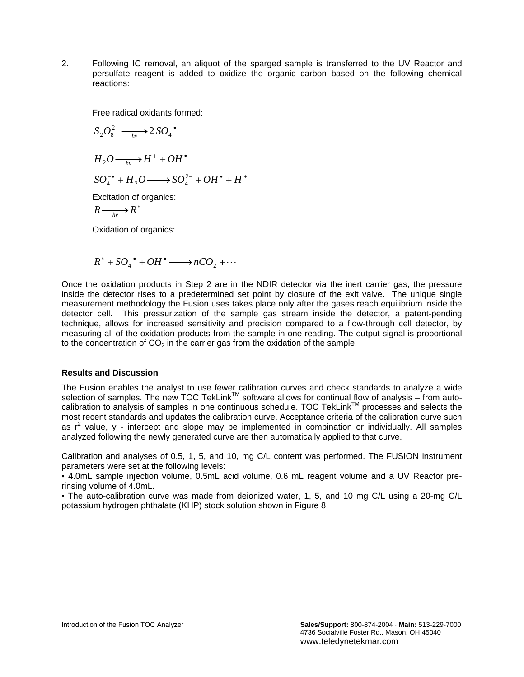2. Following IC removal, an aliquot of the sparged sample is transferred to the UV Reactor and persulfate reagent is added to oxidize the organic carbon based on the following chemical reactions:

Free radical oxidants formed:

$$
S_2O_8^{2-} \xrightarrow[hv]{} 2SO_4^{-\bullet}
$$
  
\n
$$
H_2O \xrightarrow[hv]{} H^+ + OH^{\bullet}
$$
  
\n
$$
SO_4^{-\bullet} + H_2O \longrightarrow SO_4^{2-} + OH^{\bullet} + H^{\bullet}
$$

Excitation of organics:

$$
R \longrightarrow R^*
$$

Oxidation of organics:

$$
R^* + SO_4^{-\bullet} + OH^{\bullet} \longrightarrow nCO_2 + \cdots
$$

Once the oxidation products in Step 2 are in the NDIR detector via the inert carrier gas, the pressure inside the detector rises to a predetermined set point by closure of the exit valve. The unique single measurement methodology the Fusion uses takes place only after the gases reach equilibrium inside the detector cell. This pressurization of the sample gas stream inside the detector, a patent-pending technique, allows for increased sensitivity and precision compared to a flow-through cell detector, by measuring all of the oxidation products from the sample in one reading. The output signal is proportional to the concentration of  $CO<sub>2</sub>$  in the carrier gas from the oxidation of the sample.

## **Results and Discussion**

The Fusion enables the analyst to use fewer calibration curves and check standards to analyze a wide selection of samples. The new TOC TekLink™ software allows for continual flow of analysis – from auto-<br>selection of samples. The new TOC TekLink™ software allows for continual flow of analysis – from autocalibration to analysis of samples in one continuous schedule. TOC TekLinkTM processes and selects the most recent standards and updates the calibration curve. Acceptance criteria of the calibration curve such as  $r^2$  value, y - intercept and slope may be implemented in combination or individually. All samples analyzed following the newly generated curve are then automatically applied to that curve.

Calibration and analyses of 0.5, 1, 5, and 10, mg C/L content was performed. The FUSION instrument parameters were set at the following levels:

• 4.0mL sample injection volume, 0.5mL acid volume, 0.6 mL reagent volume and a UV Reactor prerinsing volume of 4.0mL.

• The auto-calibration curve was made from deionized water, 1, 5, and 10 mg C/L using a 20-mg C/L potassium hydrogen phthalate (KHP) stock solution shown in Figure 8.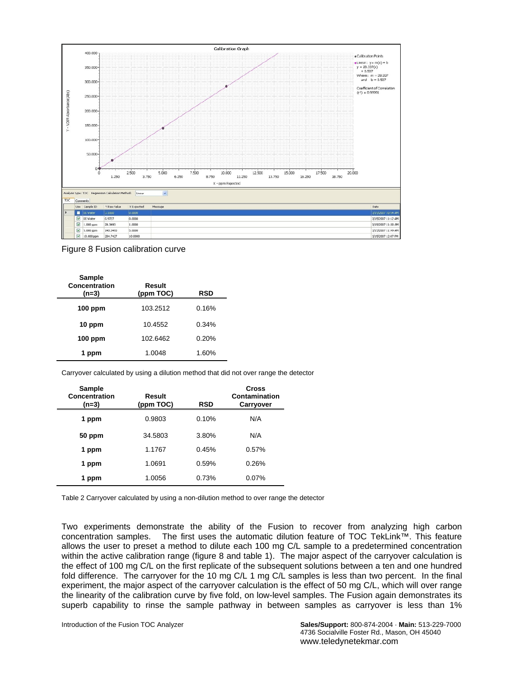

## Figure 8 Fusion calibration curve

| <b>Sample</b><br>Concentration<br>(n=3) | Result<br>(ppm TOC) | RSD   |
|-----------------------------------------|---------------------|-------|
| $100$ ppm                               | 103.2512            | 0.16% |
| 10 ppm                                  | 10.4552             | 0.34% |
| $100$ ppm                               | 102.6462            | 0.20% |
| 1 ppm                                   | 1.0048              | 1.60% |

Carryover calculated by using a dilution method that did not over range the detector

| Sample<br>Concentration<br>$(n=3)$ | Result<br>(ppm TOC) | <b>RSD</b> | Cross<br>Contamination<br>Carryover |
|------------------------------------|---------------------|------------|-------------------------------------|
| 1 ppm                              | 0.9803              | 0.10%      | N/A                                 |
| 50 ppm                             | 34.5803             | 3.80%      | N/A                                 |
| 1 ppm                              | 1.1767              | 0.45%      | 0.57%                               |
| 1 ppm                              | 1.0691              | 0.59%      | 0.26%                               |
| 1 ppm                              | 1.0056              | 0.73%      | 0.07%                               |

Table 2 Carryover calculated by using a non-dilution method to over range the detector

Two experiments demonstrate the ability of the Fusion to recover from analyzing high carbon concentration samples. The first uses the automatic dilution feature of TOC TekLink™. This feature allows the user to preset a method to dilute each 100 mg C/L sample to a predetermined concentration within the active calibration range (figure 8 and table 1). The major aspect of the carryover calculation is the effect of 100 mg C/L on the first replicate of the subsequent solutions between a ten and one hundred fold difference. The carryover for the 10 mg C/L 1 mg C/L samples is less than two percent. In the final experiment, the major aspect of the carryover calculation is the effect of 50 mg C/L, which will over range the linearity of the calibration curve by five fold, on low-level samples. The Fusion again demonstrates its superb capability to rinse the sample pathway in between samples as carryover is less than 1%